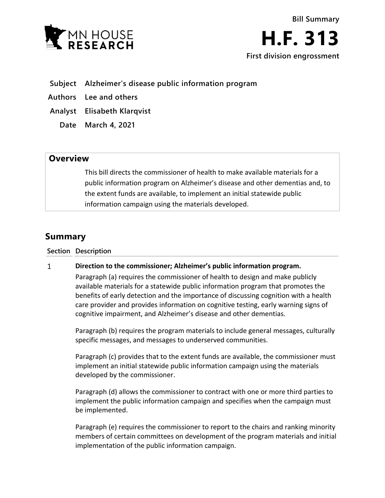

# **Subject Alzheimer's disease public information program**

**Authors Lee and others**

**Analyst Elisabeth Klarqvist**

**Date March 4, 2021**

# **Overview**

This bill directs the commissioner of health to make available materials for a public information program on Alzheimer's disease and other dementias and, to the extent funds are available, to implement an initial statewide public information campaign using the materials developed.

# **Summary**

**Section Description**

#### $\mathbf{1}$ **Direction to the commissioner; Alzheimer's public information program.**

Paragraph (a) requires the commissioner of health to design and make publicly available materials for a statewide public information program that promotes the benefits of early detection and the importance of discussing cognition with a health care provider and provides information on cognitive testing, early warning signs of cognitive impairment, and Alzheimer's disease and other dementias.

Paragraph (b) requires the program materials to include general messages, culturally specific messages, and messages to underserved communities.

Paragraph (c) provides that to the extent funds are available, the commissioner must implement an initial statewide public information campaign using the materials developed by the commissioner.

Paragraph (d) allows the commissioner to contract with one or more third parties to implement the public information campaign and specifies when the campaign must be implemented.

Paragraph (e) requires the commissioner to report to the chairs and ranking minority members of certain committees on development of the program materials and initial implementation of the public information campaign.